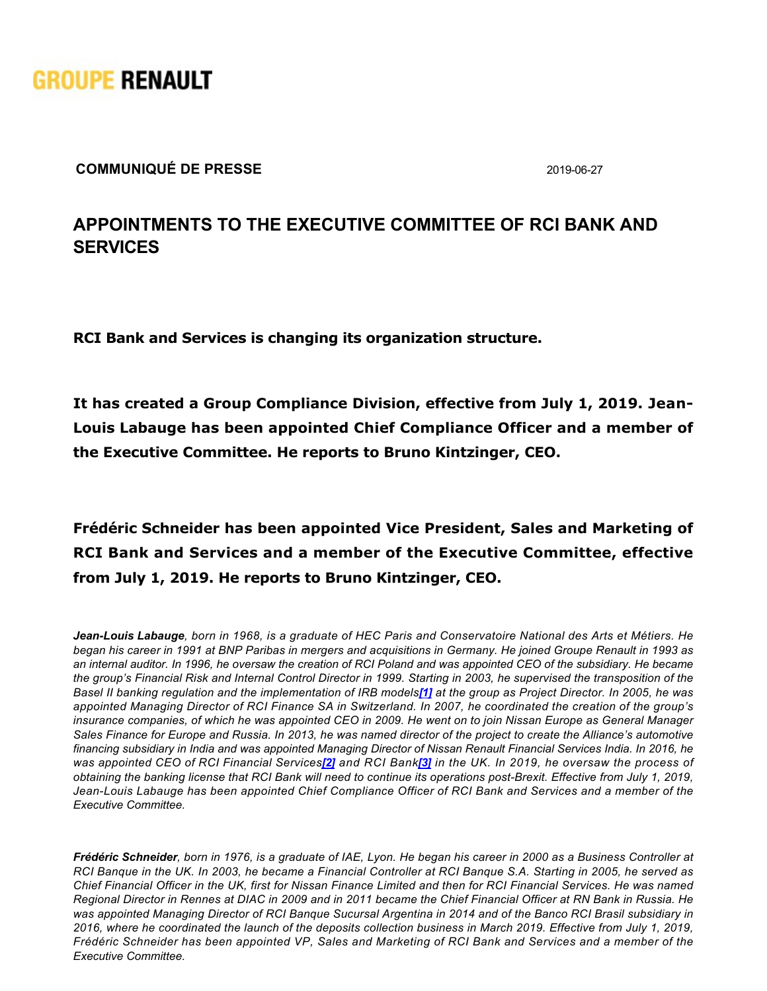

**COMMUNIQUÉ DE PRESSE** 2019-06-27

## **APPOINTMENTS TO THE EXECUTIVE COMMITTEE OF RCI BANK AND SERVICES**

**RCI Bank and Services is changing its organization structure.**

**It has created a Group Compliance Division, effective from July 1, 2019. Jean-Louis Labauge has been appointed Chief Compliance Officer and a member of the Executive Committee. He reports to Bruno Kintzinger, CEO.**

**Frédéric Schneider has been appointed Vice President, Sales and Marketing of RCI Bank and Services and a member of the Executive Committee, effective from July 1, 2019. He reports to Bruno Kintzinger, CEO.**

*JeanLouis Labauge, born in 1968, is a graduate of HEC Paris and Conservatoire National des Arts et Métiers. He began his career in 1991 at BNP Paribas in mergers and acquisitions in Germany. He joined Groupe Renault in 1993 as an internal auditor. In 1996, he oversaw the creation of RCI Poland and was appointed CEO of the subsidiary. He became the group's Financial Risk and Internal Control Director in 1999. Starting in 2003, he supervised the transposition of the Basel II banking regulation and the implementation of IRB models[\[1\]](https://grouperenault-my.sharepoint.com/personal/laura-anissa_casellas-extern_renault_com/Documents/Publications/Communiqu�s/20190627 PR_RCI Bank and Services Top Management appointments.doc#_ftn1) at the group as Project Director. In 2005, he was appointed Managing Director of RCI Finance SA in Switzerland. In 2007, he coordinated the creation of the group's insurance companies, of which he was appointed CEO in 2009. He went on to join Nissan Europe as General Manager Sales Finance for Europe and Russia. In 2013, he was named director of the project to create the Alliance's automotive financing subsidiary in India and was appointed Managing Director of Nissan Renault Financial Services India. In 2016, he was appointed CEO of RCI Financial Services[\[2\]](https://grouperenault-my.sharepoint.com/personal/laura-anissa_casellas-extern_renault_com/Documents/Publications/Communiqu�s/20190627 PR_RCI Bank and Services Top Management appointments.doc#_ftn2) and RCI Bank[\[3\]](https://grouperenault-my.sharepoint.com/personal/laura-anissa_casellas-extern_renault_com/Documents/Publications/Communiqu�s/20190627 PR_RCI Bank and Services Top Management appointments.doc#_ftn3) in the UK. In 2019, he oversaw the process of obtaining the banking license that RCI Bank will need to continue its operations post-Brexit. Effective from July 1, 2019, JeanLouis Labauge has been appointed Chief Compliance Officer of RCI Bank and Services and a member of the Executive Committee.*

*Frédéric Schneider, born in 1976, is a graduate of IAE, Lyon. He began his career in 2000 as a Business Controller at RCI Banque in the UK. In 2003, he became a Financial Controller at RCI Banque S.A. Starting in 2005, he served as Chief Financial Officer in the UK, first for Nissan Finance Limited and then for RCI Financial Services. He was named Regional Director in Rennes at DIAC in 2009 and in 2011 became the Chief Financial Officer at RN Bank in Russia. He was appointed Managing Director of RCI Banque Sucursal Argentina in 2014 and of the Banco RCI Brasil subsidiary in 2016, where he coordinated the launch of the deposits collection business in March 2019. Effective from July 1, 2019, Frédéric Schneider has been appointed VP, Sales and Marketing of RCI Bank and Services and a member of the Executive Committee.*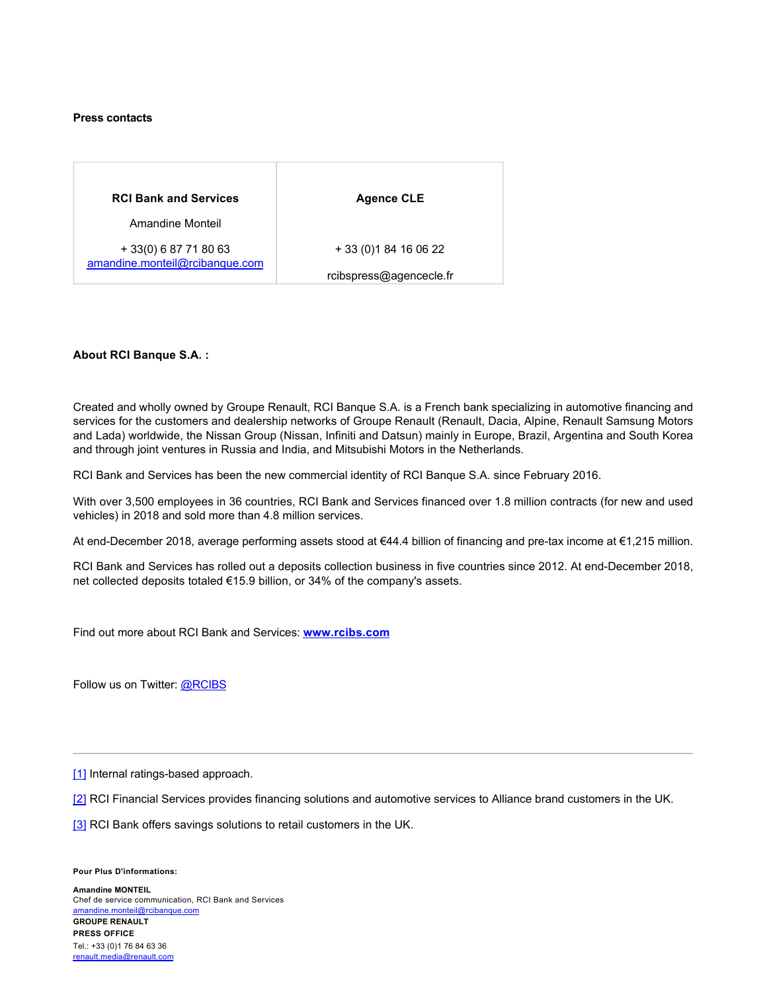## **Press contacts**

| <b>RCI Bank and Services</b>                            | <b>Agence CLE</b>       |
|---------------------------------------------------------|-------------------------|
| Amandine Monteil                                        |                         |
| + 33(0) 6 87 71 80 63<br>amandine.monteil@rcibanque.com | + 33 (0) 1 84 16 06 22  |
|                                                         | rcibspress@agencecle.fr |

## **About RCI Banque S.A. :**

Created and wholly owned by Groupe Renault, RCI Banque S.A. is a French bank specializing in automotive financing and services for the customers and dealership networks of Groupe Renault (Renault, Dacia, Alpine, Renault Samsung Motors and Lada) worldwide, the Nissan Group (Nissan, Infiniti and Datsun) mainly in Europe, Brazil, Argentina and South Korea and through joint ventures in Russia and India, and Mitsubishi Motors in the Netherlands.

RCI Bank and Services has been the new commercial identity of RCI Banque S.A. since February 2016.

With over 3,500 employees in 36 countries, RCI Bank and Services financed over 1.8 million contracts (for new and used vehicles) in 2018 and sold more than 4.8 million services.

At end-December 2018, average performing assets stood at €44.4 billion of financing and pre-tax income at €1,215 million.

RCI Bank and Services has rolled out a deposits collection business in five countries since 2012. At end-December 2018, net collected deposits totaled €15.9 billion, or 34% of the company's assets.

Find out more about RCI Bank and Services: **[www.rcibs.com](http://www.rcibs.com/)**

Follow us on Twitter: [@RCIBS](https://twitter.com/RCIBS)

[\[1\]](https://grouperenault-my.sharepoint.com/personal/laura-anissa_casellas-extern_renault_com/Documents/Publications/Communiqu�s/20190627 PR_RCI Bank and Services Top Management appointments.doc#_ftnref1) Internal ratings-based approach.

[\[2\]](https://grouperenault-my.sharepoint.com/personal/laura-anissa_casellas-extern_renault_com/Documents/Publications/Communiqu�s/20190627 PR_RCI Bank and Services Top Management appointments.doc#_ftnref2) RCI Financial Services provides financing solutions and automotive services to Alliance brand customers in the UK.

[\[3\]](https://grouperenault-my.sharepoint.com/personal/laura-anissa_casellas-extern_renault_com/Documents/Publications/Communiqu�s/20190627 PR_RCI Bank and Services Top Management appointments.doc#_ftnref3) RCI Bank offers savings solutions to retail customers in the UK.

**Pour Plus D'informations:**

**Amandine MONTEIL** Chef de service communication, RCI Bank and Services [amandine.monteil@rcibanque.com](mailto: amandine.monteil@rcibanque.com)

**GROUPE RENAULT PRESS OFFICE**  Tel.: +33 (0)1 76 84 63 36 [renault.media@renault.com](mailto: renault.media@renault.com)